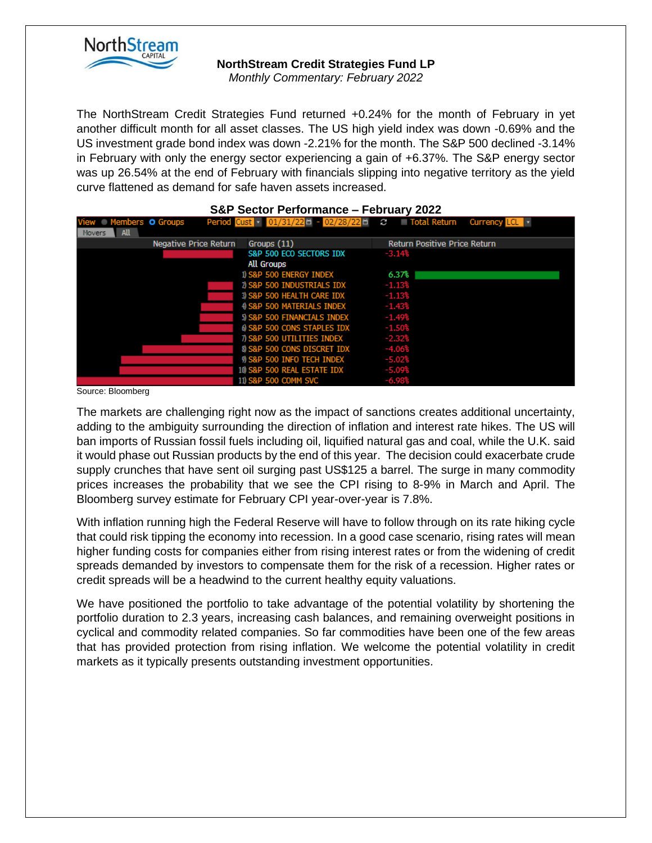

## **NorthStream Credit Strategies Fund LP**

*Monthly Commentary: February 2022*

The NorthStream Credit Strategies Fund returned +0.24% for the month of February in yet another difficult month for all asset classes. The US high yield index was down -0.69% and the US investment grade bond index was down -2.21% for the month. The S&P 500 declined -3.14% in February with only the energy sector experiencing a gain of +6.37%. The S&P energy sector was up 26.54% at the end of February with financials slipping into negative territory as the yield curve flattened as demand for safe haven assets increased.

| <b>S&amp;P Sector Performance - February 2022</b> |                       |                                        |                                                                   |  |  |  |
|---------------------------------------------------|-----------------------|----------------------------------------|-------------------------------------------------------------------|--|--|--|
| View Members O Groups                             |                       |                                        | Period Cust v 01/31/22 = 02/28/22 = C Total Return Currency LCL v |  |  |  |
| <b>All</b><br><b>Movers</b>                       |                       |                                        |                                                                   |  |  |  |
|                                                   | Negative Price Return | Groups (11)                            | <b>Return Positive Price Return</b>                               |  |  |  |
|                                                   |                       | S&P 500 ECO SECTORS IDX                | $-3.14%$                                                          |  |  |  |
|                                                   |                       | All Groups                             |                                                                   |  |  |  |
|                                                   |                       | 1) S&P 500 ENERGY INDEX                | 6.37%                                                             |  |  |  |
|                                                   |                       | 2) S&P 500 INDUSTRIALS IDX             | $-1.13%$                                                          |  |  |  |
|                                                   |                       | 3) S&P 500 HEALTH CARE IDX             | $-1.13%$                                                          |  |  |  |
|                                                   |                       | 4 S&P 500 MATERIALS INDEX              | $-1.43%$                                                          |  |  |  |
|                                                   |                       | 5) S&P 500 FINANCIALS INDEX            | $-1.49%$                                                          |  |  |  |
|                                                   |                       | 6 S&P 500 CONS STAPLES IDX             | $-1.50%$                                                          |  |  |  |
|                                                   |                       | 7) S&P 500 UTILITIES INDEX             | $-2.32%$                                                          |  |  |  |
|                                                   |                       | <b>8) S&amp;P 500 CONS DISCRET IDX</b> | $-4.06%$                                                          |  |  |  |
|                                                   |                       | 9) S&P 500 INFO TECH INDEX             | $-5.02%$                                                          |  |  |  |
|                                                   |                       | 10 S&P 500 REAL ESTATE IDX             | $-5.09%$                                                          |  |  |  |
|                                                   |                       | 11) S&P 500 COMM SVC                   | $-6.98%$                                                          |  |  |  |

Source: Bloomberg

The markets are challenging right now as the impact of sanctions creates additional uncertainty, adding to the ambiguity surrounding the direction of inflation and interest rate hikes. The US will ban imports of Russian fossil fuels including oil, liquified natural gas and coal, while the U.K. said it would phase out Russian products by the end of this year. The decision could exacerbate crude supply crunches that have sent oil surging past US\$125 a barrel. The surge in many commodity prices increases the probability that we see the CPI rising to 8-9% in March and April. The Bloomberg survey estimate for February CPI year-over-year is 7.8%.

With inflation running high the Federal Reserve will have to follow through on its rate hiking cycle that could risk tipping the economy into recession. In a good case scenario, rising rates will mean higher funding costs for companies either from rising interest rates or from the widening of credit spreads demanded by investors to compensate them for the risk of a recession. Higher rates or credit spreads will be a headwind to the current healthy equity valuations.

We have positioned the portfolio to take advantage of the potential volatility by shortening the portfolio duration to 2.3 years, increasing cash balances, and remaining overweight positions in cyclical and commodity related companies. So far commodities have been one of the few areas that has provided protection from rising inflation. We welcome the potential volatility in credit markets as it typically presents outstanding investment opportunities.